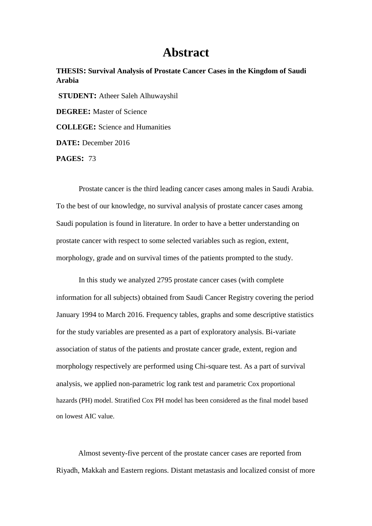## **Abstract**

**THESIS: Survival Analysis of Prostate Cancer Cases in the Kingdom of Saudi Arabia STUDENT:** Atheer Saleh Alhuwayshil **DEGREE:** Master of Science

**COLLEGE:** Science and Humanities

**DATE:** December 2016

**PAGES:** 73

Prostate cancer is the third leading cancer cases among males in Saudi Arabia. To the best of our knowledge, no survival analysis of prostate cancer cases among Saudi population is found in literature. In order to have a better understanding on prostate cancer with respect to some selected variables such as region, extent, morphology, grade and on survival times of the patients prompted to the study.

In this study we analyzed 2795 prostate cancer cases (with complete information for all subjects) obtained from Saudi Cancer Registry covering the period January 1994 to March 2016. Frequency tables, graphs and some descriptive statistics for the study variables are presented as a part of exploratory analysis. Bi-variate association of status of the patients and prostate cancer grade, extent, region and morphology respectively are performed using Chi-square test. As a part of survival analysis, we applied non-parametric log rank test and parametric Cox proportional hazards (PH) model. Stratified Cox PH model has been considered as the final model based on lowest AIC value.

Almost seventy-five percent of the prostate cancer cases are reported from Riyadh, Makkah and Eastern regions. Distant metastasis and localized consist of more